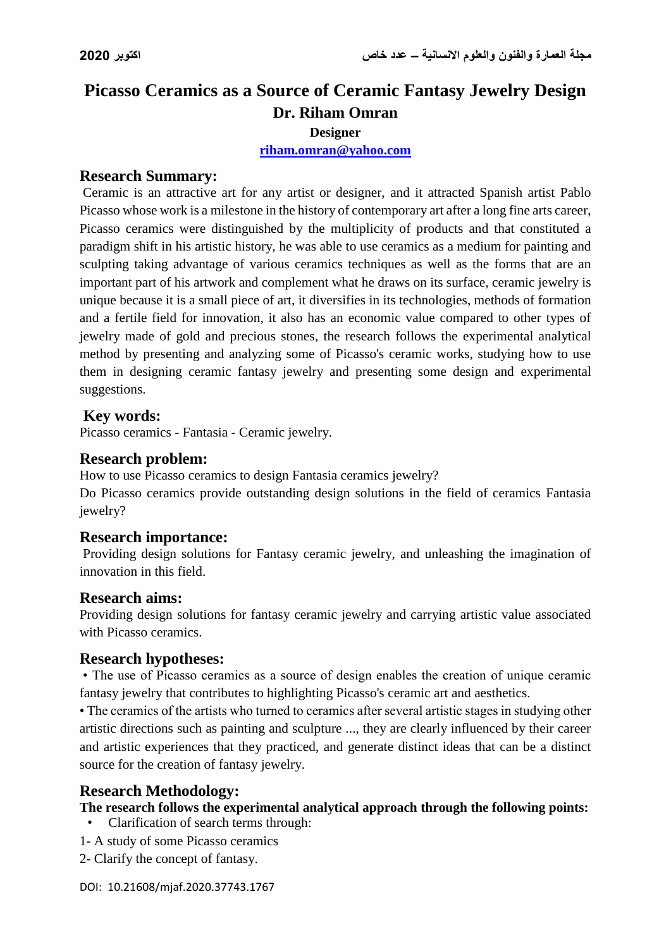# **Picasso Ceramics as a Source of Ceramic Fantasy Jewelry Design Dr. Riham Omran Designer**

# **[riham.omran@yahoo.com](mailto:riham.omran@yahoo.com)**

#### **Research Summary:**

Ceramic is an attractive art for any artist or designer, and it attracted Spanish artist Pablo Picasso whose work is a milestone in the history of contemporary art after a long fine arts career, Picasso ceramics were distinguished by the multiplicity of products and that constituted a paradigm shift in his artistic history, he was able to use ceramics as a medium for painting and sculpting taking advantage of various ceramics techniques as well as the forms that are an important part of his artwork and complement what he draws on its surface, ceramic jewelry is unique because it is a small piece of art, it diversifies in its technologies, methods of formation and a fertile field for innovation, it also has an economic value compared to other types of jewelry made of gold and precious stones, the research follows the experimental analytical method by presenting and analyzing some of Picasso's ceramic works, studying how to use them in designing ceramic fantasy jewelry and presenting some design and experimental suggestions.

### **Key words:**

Picasso ceramics - Fantasia - Ceramic jewelry.

### **Research problem:**

How to use Picasso ceramics to design Fantasia ceramics jewelry?

Do Picasso ceramics provide outstanding design solutions in the field of ceramics Fantasia jewelry?

#### **Research importance:**

Providing design solutions for Fantasy ceramic jewelry, and unleashing the imagination of innovation in this field.

#### **Research aims:**

Providing design solutions for fantasy ceramic jewelry and carrying artistic value associated with Picasso ceramics.

# **Research hypotheses:**

• The use of Picasso ceramics as a source of design enables the creation of unique ceramic fantasy jewelry that contributes to highlighting Picasso's ceramic art and aesthetics.

• The ceramics of the artists who turned to ceramics after several artistic stages in studying other artistic directions such as painting and sculpture ..., they are clearly influenced by their career and artistic experiences that they practiced, and generate distinct ideas that can be a distinct source for the creation of fantasy jewelry.

# **Research Methodology:**

#### **The research follows the experimental analytical approach through the following points:**

• Clarification of search terms through:

- 1- A study of some Picasso ceramics
- 2- Clarify the concept of fantasy.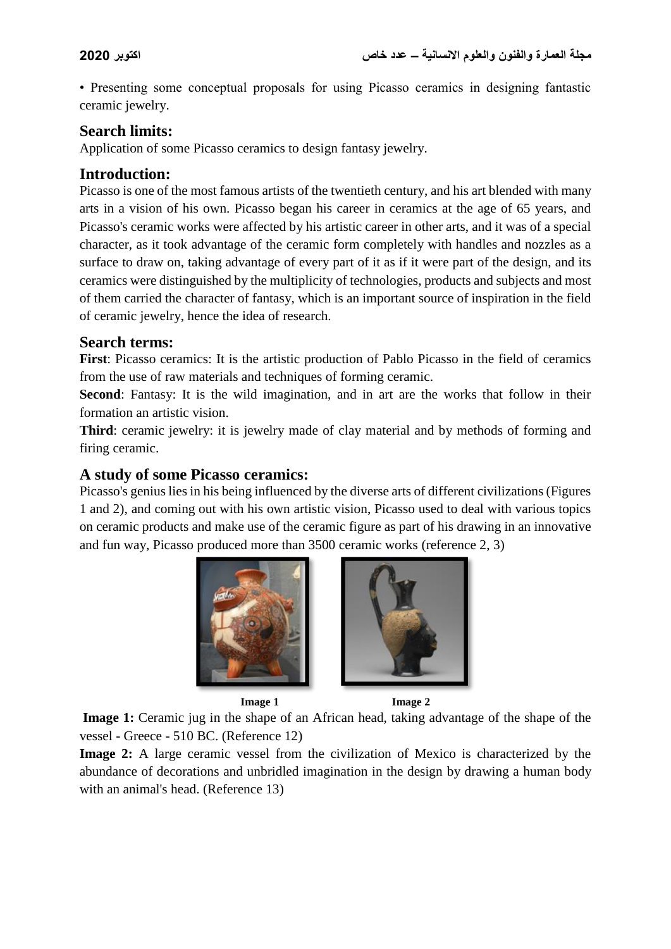• Presenting some conceptual proposals for using Picasso ceramics in designing fantastic ceramic jewelry.

# **Search limits:**

Application of some Picasso ceramics to design fantasy jewelry.

# **Introduction:**

Picasso is one of the most famous artists of the twentieth century, and his art blended with many arts in a vision of his own. Picasso began his career in ceramics at the age of 65 years, and Picasso's ceramic works were affected by his artistic career in other arts, and it was of a special character, as it took advantage of the ceramic form completely with handles and nozzles as a surface to draw on, taking advantage of every part of it as if it were part of the design, and its ceramics were distinguished by the multiplicity of technologies, products and subjects and most of them carried the character of fantasy, which is an important source of inspiration in the field of ceramic jewelry, hence the idea of research.

# **Search terms:**

**First**: Picasso ceramics: It is the artistic production of Pablo Picasso in the field of ceramics from the use of raw materials and techniques of forming ceramic.

Second: Fantasy: It is the wild imagination, and in art are the works that follow in their formation an artistic vision.

**Third**: ceramic jewelry: it is jewelry made of clay material and by methods of forming and firing ceramic.

# **A study of some Picasso ceramics:**

Picasso's genius lies in his being influenced by the diverse arts of different civilizations (Figures 1 and 2), and coming out with his own artistic vision, Picasso used to deal with various topics on ceramic products and make use of the ceramic figure as part of his drawing in an innovative and fun way, Picasso produced more than 3500 ceramic works (reference 2, 3)





**Image 1** Image 2

**Image 1:** Ceramic jug in the shape of an African head, taking advantage of the shape of the vessel - Greece - 510 BC. (Reference 12)

**Image 2:** A large ceramic vessel from the civilization of Mexico is characterized by the abundance of decorations and unbridled imagination in the design by drawing a human body with an animal's head. (Reference 13)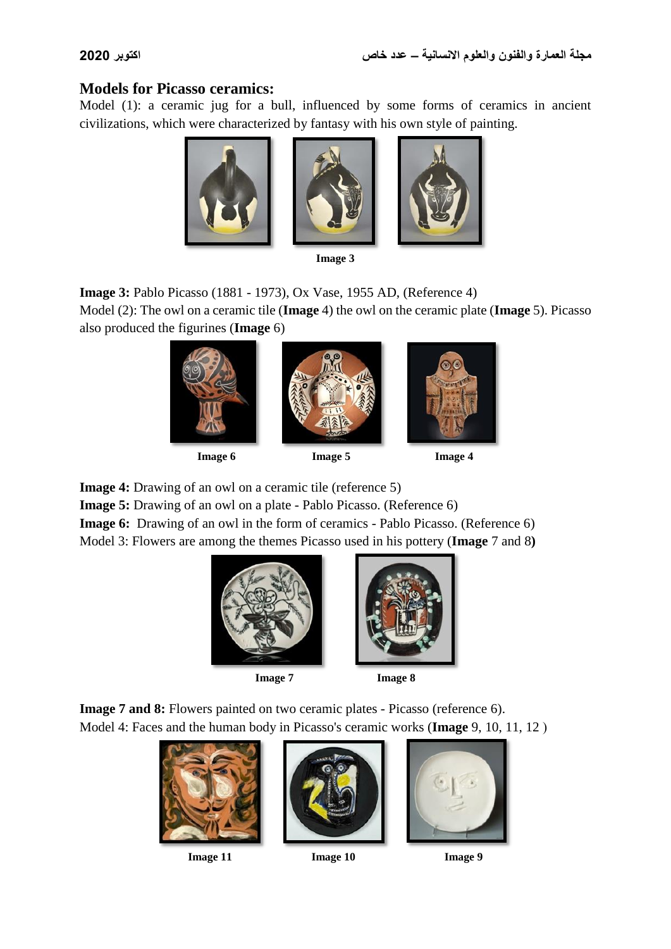# **Models for Picasso ceramics:**

Model (1): a ceramic jug for a bull, influenced by some forms of ceramics in ancient civilizations, which were characterized by fantasy with his own style of painting.







| mag<br>ı |  |
|----------|--|
|----------|--|

**Image 3:** Pablo Picasso (1881 - 1973), Ox Vase, 1955 AD, (Reference 4) Model (2): The owl on a ceramic tile (**Image** 4) the owl on the ceramic plate (**Image** 5). Picasso

also produced the figurines (**Image** 6)





**Image 6** Image 5 Image 4

**Image 4:** Drawing of an owl on a ceramic tile (reference 5)

**Image 5:** Drawing of an owl on a plate - Pablo Picasso. (Reference 6)

**Image 6:** Drawing of an owl in the form of ceramics - Pablo Picasso. (Reference 6) Model 3: Flowers are among the themes Picasso used in his pottery (**Image** 7 and 8**)**



**Image 7 Image 8**



**Image 7 and 8:** Flowers painted on two ceramic plates - Picasso (reference 6). Model 4: Faces and the human body in Picasso's ceramic works (**Image** 9, 10, 11, 12)







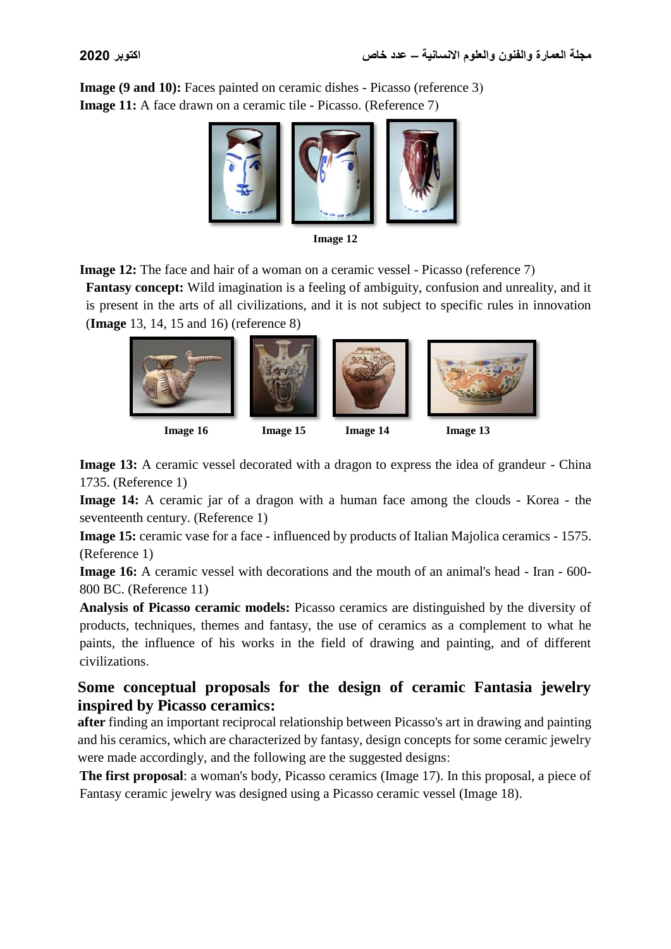**Image** (9 and 10): Faces painted on ceramic dishes - Picasso (reference 3) **Image 11:** A face drawn on a ceramic tile - Picasso. (Reference 7)



**Image 12**

**Image 12:** The face and hair of a woman on a ceramic vessel - Picasso (reference 7) **Fantasy concept:** Wild imagination is a feeling of ambiguity, confusion and unreality, and it is present in the arts of all civilizations, and it is not subject to specific rules in innovation (**Image** 13, 14, 15 and 16) (reference 8)



 **Image 16 Image 15 Image 14 Image 13**

**Image 13:** A ceramic vessel decorated with a dragon to express the idea of grandeur - China 1735. (Reference 1)

**Image 14:** A ceramic jar of a dragon with a human face among the clouds - Korea - the seventeenth century. (Reference 1)

**Image 15:** ceramic vase for a face - influenced by products of Italian Majolica ceramics - 1575. (Reference 1)

**Image 16:** A ceramic vessel with decorations and the mouth of an animal's head - Iran - 600-800 BC. (Reference 11)

**Analysis of Picasso ceramic models:** Picasso ceramics are distinguished by the diversity of products, techniques, themes and fantasy, the use of ceramics as a complement to what he paints, the influence of his works in the field of drawing and painting, and of different civilizations.

# **Some conceptual proposals for the design of ceramic Fantasia jewelry inspired by Picasso ceramics:**

**after** finding an important reciprocal relationship between Picasso's art in drawing and painting and his ceramics, which are characterized by fantasy, design concepts for some ceramic jewelry were made accordingly, and the following are the suggested designs:

**The first proposal**: a woman's body, Picasso ceramics (Image 17). In this proposal, a piece of Fantasy ceramic jewelry was designed using a Picasso ceramic vessel (Image 18).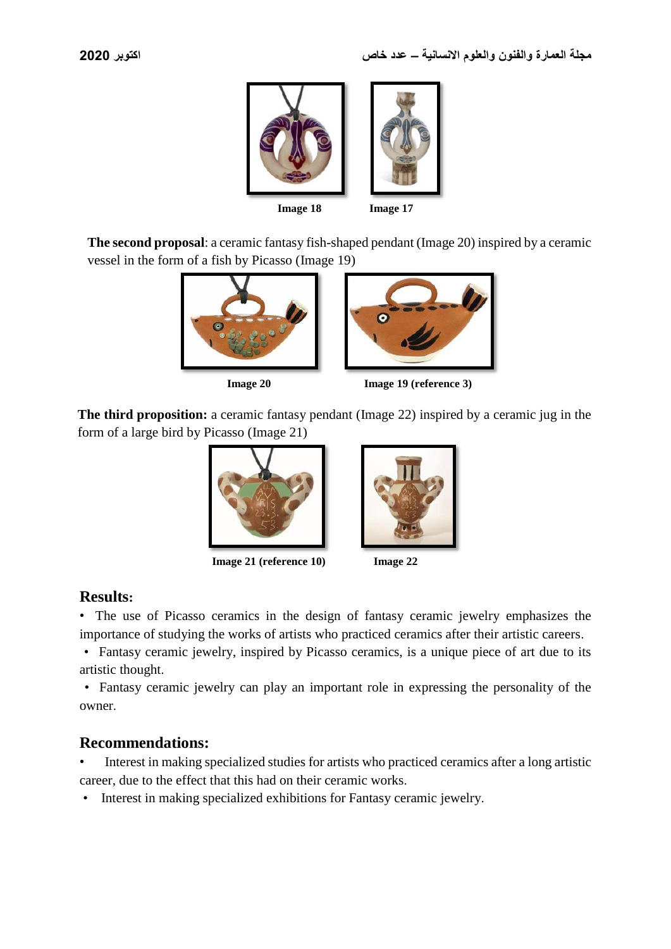

**The second proposal**: a ceramic fantasy fish-shaped pendant (Image 20) inspired by a ceramic vessel in the form of a fish by Picasso (Image 19)



**Image 20** Image 19 (reference 3)

**The third proposition:** a ceramic fantasy pendant (Image 22) inspired by a ceramic jug in the form of a large bird by Picasso (Image 21)



 **Image 21 (reference 10) Image 22**





# **Results:**

• The use of Picasso ceramics in the design of fantasy ceramic jewelry emphasizes the importance of studying the works of artists who practiced ceramics after their artistic careers.

 • Fantasy ceramic jewelry, inspired by Picasso ceramics, is a unique piece of art due to its artistic thought.

 • Fantasy ceramic jewelry can play an important role in expressing the personality of the owner.

# **Recommendations:**

• Interest in making specialized studies for artists who practiced ceramics after a long artistic career, due to the effect that this had on their ceramic works.

• Interest in making specialized exhibitions for Fantasy ceramic jewelry.